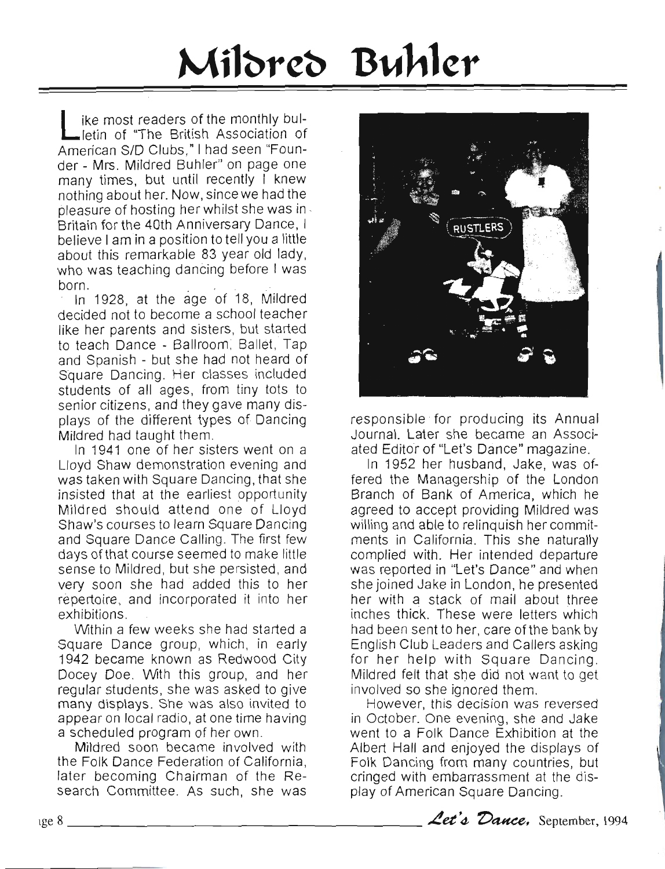## Mildred Buhler

ike most readers of the monthly bulletin of "The British Association of American S/D Clubs," I had seen "Founder - Mrs. Mildred Bunler' on page one many times, but until recently I knew nothing about her. Now, since we had the pleasure of hosting her whilst she was in Britain for the 40th Anniversary Dance, I believe I am in a position to tell you a little about this remarkable 83 year old lady, who was teaching dancing before I was born.

In 1928, at the age of 18, Mildred decided not to become a school teacher like her parents and sisters, but started to teach Dance - Ballroom; Ballet, Tap and Spanish - but she had not heard of Square Dancing. Her classes included students of all ages, from tiny tots to senior citizens, and they gave many displays of the different types of Dancing Mildred had taught them.

In 1941 one of her sisters went on a Lloyd Shaw demonstration evening and was taken with Square Dancing, that she insisted that at the earliest opportunity Mildred should attend one of Lloyd Shaw's courses to learn Square Dancing and Square Dance Calling. The first few days of that course seemed to make little sense to Mildred, but she persisted, and very soon she had added this to her repertoire, and incorporated it into her exhibitions.

Within a few weeks she had started a Square Dance group, which, in early 1942 became known as Redwood City Docey Doe. With this group, and her regular students, she was asked to give many displays. She was also invited to appear on local radio, at one time having a scheduled program of her own.

Mildred soon became involved with the Folk Dance Federation of California, later becoming Chairman of the Research Committee. As such, she was



responsible for producing its Annual Journal. Later she became an Associated Editor of "Let's Dance" magazine.

In 1952 her husband, Jake, was offered the Managership of the London Branch of Bank of America, which he agreed to accept providing Mildred was willing and able to relinquish her commitments in California. This she naturally complied with. Her intended departure was reported in "Let's Dance" and when she joined Jake in London, he presented her with a stack of mail about three inches thick. These were letters which had been sent to her, care of the bank by English Club Leaders and Callers asking for her help with Square Dancing. Mildred felt that she did not want to get involved so she ignored them.

However, this decision was reversed in October. One evening, she and Jake went to a Folk Dance Exhibition at the Albert Hall and enjoyed the displays of Folk Dancing from many countries, but cringed with embarrassment at the display of American Square Dancing.